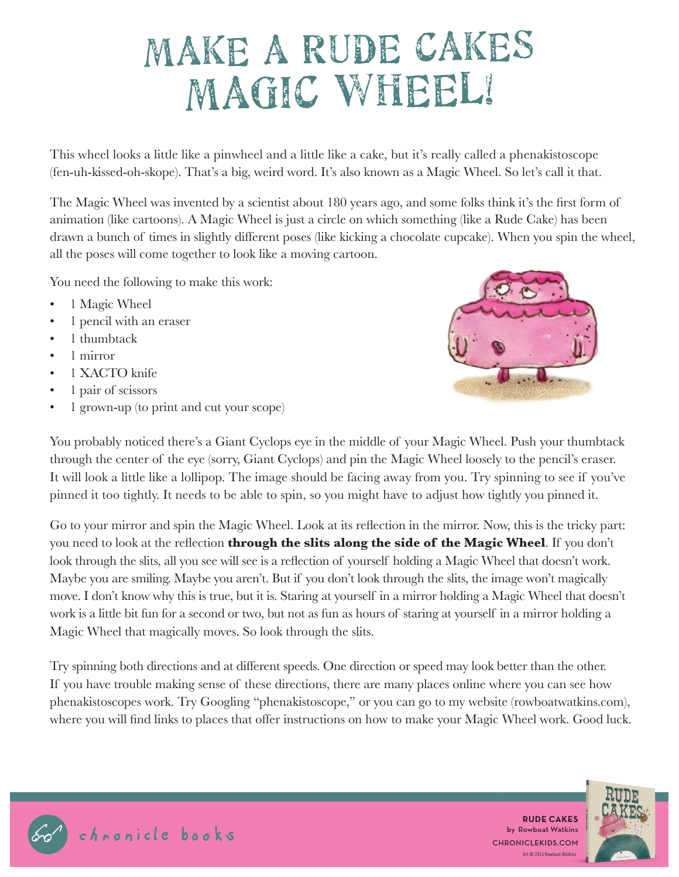## MAKE A RUDE CAKES MAGIC WHEEL!

This wheel looks a little like a pinwheel and a little like a cake, but it's really called a phenakistoscope (fen-uh-kissed-oh-skope). That's a big, weird word. It's also known as a Magic Wheel. So let's call it that.

The Magic Wheel was invented by a scientist about 180 years ago, and some folks think it's the first form of animation (like cartoons). A Magic Wheel is just a circle on which something (like a Rude Cake) has been drawn a bunch of times in slightly different poses (like kicking a chocolate cupcake). When you spin the wheel, all the poses will come together to look like a moving cartoon.

You need the following to make this work:

- 1 Magic Wheel
- 1 pencil with an eraser
- 1 thumbtack
- 1 mirror
- 1 XACTO knife
- 1 pair of scissors
- 1 grown-up (to print and cut your scope)



You probably noticed there's a Giant Cyclops eye in the middle of your Magic Wheel. Push your thumbtack through the center of the eye (sorry, Giant Cyclops) and pin the Magic Wheel loosely to the pencil's eraser. It will look a little like a lollipop. The image should be facing away from you. Try spinning to see if you've pinned it too tightly. It needs to be able to spin, so you might have to adjust how tightly you pinned it.

Go to your mirror and spin the Magic Wheel. Look at its reflection in the mirror. Now, this is the tricky part: you need to look at the reflection **through the slits along the side of the Magic Wheel**. If you don't look through the slits, all you see will see is a reflection of yourself holding a Magic Wheel that doesn't work. Maybe you are smiling. Maybe you aren't. But if you don't look through the slits, the image won't magically move. I don't know why this is true, but it is. Staring at yourself in a mirror holding a Magic Wheel that doesn't work is a little bit fun for a second or two, but not as fun as hours of staring at yourself in a mirror holding a Magic Wheel that magically moves. So look through the slits.

Try spinning both directions and at different speeds. One direction or speed may look better than the other. If you have trouble making sense of these directions, there are many places online where you can see how phenakistoscopes work. Try Googling "phenakistoscope," or you can go to my website (rowboatwatkins.com), where you will find links to places that offer instructions on how to make your Magic Wheel work. Good luck.





Art © 2015 Rowboat Watkins **RUDE CAKES** by Rowboat Watkins CHRONICLEKIDS.COM